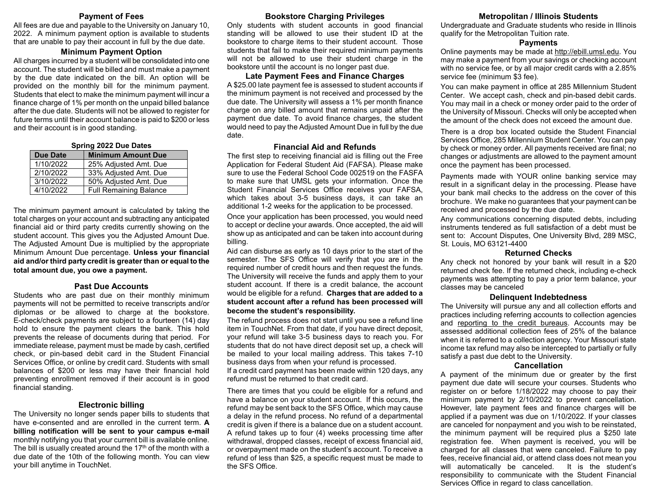#### **Payment of Fees**

All fees are due and payable to the University on January 10, 2022. A minimum payment option is available to students that are unable to pay their account in full by the due date.

#### **Minimum Payment Option**

All charges incurred by a student will be consolidated into one account. The student will be billed and must make a payment by the due date indicated on the bill. An option will be provided on the monthly bill for the minimum payment. Students that elect to make the minimum payment will incur a finance charge of 1% per month on the unpaid billed balance after the due date. Students will not be allowed to register for future terms until their account balance is paid to \$200 or less and their account is in good standing.

| <b>Spring 2022 Due Dates</b> |                               |  |  |  |
|------------------------------|-------------------------------|--|--|--|
| <b>Due Date</b>              | <b>Minimum Amount Due</b>     |  |  |  |
| 1/10/2022                    | 25% Adjusted Amt. Due         |  |  |  |
| 2/10/2022                    | 33% Adjusted Amt. Due         |  |  |  |
| 3/10/2022                    | 50% Adjusted Amt. Due         |  |  |  |
| 4/10/2022                    | <b>Full Remaining Balance</b> |  |  |  |

The minimum payment amount is calculated by taking the total charges on your account and subtracting any anticipated financial aid or third party credits currently showing on the student account. This gives you the Adjusted Amount Due. The Adjusted Amount Due is multiplied by the appropriate Minimum Amount Due percentage. **Unless your financial aid and/or third party credit is greater than or equal to the total amount due, you owe a payment.**

#### **Past Due Accounts**

Students who are past due on their monthly minimum payments will not be permitted to receive transcripts and/or diplomas or be allowed to charge at the bookstore. E-check/check payments are subject to a fourteen (14) day hold to ensure the payment clears the bank. This hold prevents the release of documents during that period. For immediate release, payment must be made by cash, certified check, or pin-based debit card in the Student Financial Services Office, or online by credit card. Students with small balances of \$200 or less may have their financial hold preventing enrollment removed if their account is in good financial standing.

### **Electronic billing**

The University no longer sends paper bills to students that have e-consented and are enrolled in the current term. **A billing notification will be sent to your campus e-mail** monthly notifying you that your current bill is available online. The bill is usually created around the  $17<sup>th</sup>$  of the month with a due date of the 10th of the following month. You can view your bill anytime in TouchNet.

#### **Bookstore Charging Privileges**

Only students with student accounts in good financial standing will be allowed to use their student ID at the bookstore to charge items to their student account. Those students that fail to make their required minimum payments will not be allowed to use their student charge in the bookstore until the account is no longer past due.

#### **Late Payment Fees and Finance Charges**

A \$25.00 late payment fee is assessed to student accounts if the minimum payment is not received and processed by the due date. The University will assess a 1% per month finance charge on any billed amount that remains unpaid after the payment due date. To avoid finance charges, the student would need to pay the Adjusted Amount Due in full by the due date.

#### **Financial Aid and Refunds**

The first step to receiving financial aid is filling out the Free Application for Federal Student Aid (FAFSA). Please make sure to use the Federal School Code 002519 on the FASFA to make sure that UMSL gets your information. Once the Student Financial Services Office receives your FAFSA, which takes about 3-5 business days, it can take an additional 1-2 weeks for the application to be processed.

Once your application has been processed, you would need to accept or decline your awards. Once accepted, the aid will show up as anticipated and can be taken into account during billing.

Aid can disburse as early as 10 days prior to the start of the semester. The SFS Office will verify that you are in the required number of credit hours and then request the funds. The University will receive the funds and apply them to your student account. If there is a credit balance, the account would be eligible for a refund. **Charges that are added to a student account after a refund has been processed will become the student's responsibility.**

The refund process does not start until you see a refund line item in TouchNet. From that date, if you have direct deposit, your refund will take 3-5 business days to reach you. For students that do not have direct deposit set up, a check will be mailed to your local mailing address. This takes 7-10 business days from when your refund is processed.

If a credit card payment has been made within 120 days, any refund must be returned to that credit card.

There are times that you could be eligible for a refund and have a balance on your student account. If this occurs, the refund may be sent back to the SFS Office, which may cause a delay in the refund process. No refund of a departmental credit is given if there is a balance due on a student account. A refund takes up to four (4) weeks processing time after withdrawal, dropped classes, receipt of excess financial aid, or overpayment made on the student's account. To receive a refund of less than \$25, a specific request must be made to the SFS Office.

#### **Metropolitan / Illinois Students**

Undergraduate and Graduate students who reside in Illinois qualify for the Metropolitan Tuition rate.

#### **Payments**

Online payments may be made at [http://ebill.umsl.edu.](http://ebill.umsl.edu/) You may make a payment from your savings or checking account with no service fee, or by all major credit cards with a 2.85% service fee (minimum \$3 fee).

You can make payment in office at 285 Millennium Student Center. We accept cash, check and pin-based debit cards. You may mail in a check or money order paid to the order of the University of Missouri. Checks will only be accepted when the amount of the check does not exceed the amount due.

There is a drop box located outside the Student Financial Services Office, 285 Millennium Student Center. You can pay by check or money order. All payments received are final; no changes or adjustments are allowed to the payment amount once the payment has been processed.

Payments made with YOUR online banking service may result in a significant delay in the processing. Please have your bank mail checks to the address on the cover of this brochure. We make no guarantees that your payment can be received and processed by the due date.

Any communications concerning disputed debts, including instruments tendered as full satisfaction of a debt must be sent to: Account Disputes, One University Blvd, 289 MSC, St. Louis, MO 63121-4400

#### **Returned Checks**

Any check not honored by your bank will result in a \$20 returned check fee. If the returned check, including e-check payments was attempting to pay a prior term balance, your classes may be canceled

#### **Delinquent Indebtedness**

The University will pursue any and all collection efforts and practices including referring accounts to collection agencies and reporting to the credit bureaus. Accounts may be assessed additional collection fees of 25% of the balance when it is referred to a collection agency. Your Missouri state income tax refund may also be intercepted to partially or fully satisfy a past due debt to the University.

#### **Cancellation**

A payment of the minimum due or greater by the first payment due date will secure your courses. Students who register on or before 1/18/2022 may choose to pay their minimum payment by 2/10/2022 to prevent cancellation. However, late payment fees and finance charges will be applied if a payment was due on 1/10/2022. If your classes are canceled for nonpayment and you wish to be reinstated, the minimum payment will be required plus a \$250 late registration fee. When payment is received, you will be charged for all classes that were canceled. Failure to pay fees, receive financial aid, or attend class does not mean you will automatically be canceled. It is the student's responsibility to communicate with the Student Financial Services Office in regard to class cancellation.